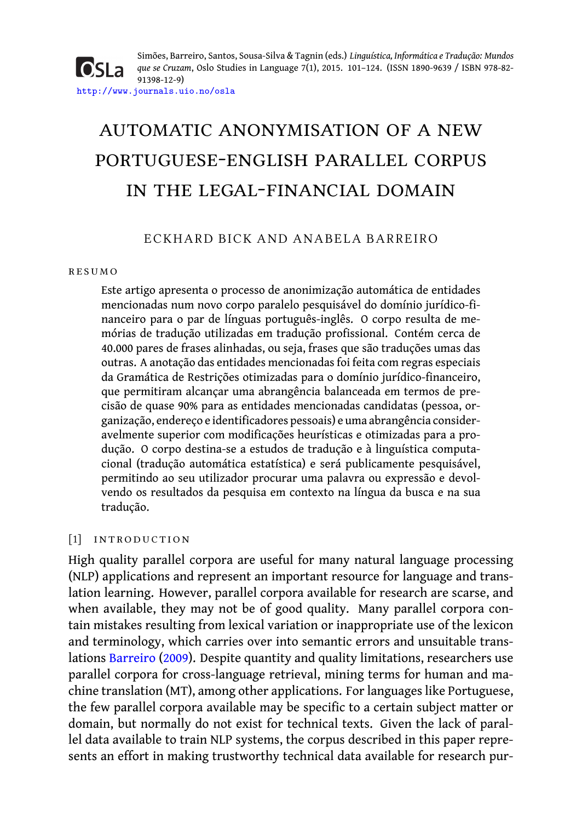Simões, Barreiro, Santos, Sousa-Silva & Tagnin (eds.) *Linguística, Informática e Tradução: Mundos* **OSLa** *que se Cruzam*, Oslo Studies in Language 7(1), 2015. 101–124. (ISSN 1890-9639 / ISBN 978-82- 91398-12-9) http://www.journals.uio.no/osla

# automatic anonymisation of a new portuguese-english parallel corpus in the legal-financial domain

# ECKHARD BICK AND ANABELA BARREIRO

#### r e s um o

Este artigo apresenta o processo de anonimização automática de entidades mencionadas num novo corpo paralelo pesquisável do domínio jurídico-financeiro para o par de línguas português-inglês. O corpo resulta de memórias de tradução utilizadas em tradução profissional. Contém cerca de 40.000 pares de frases alinhadas, ou seja, frases que são traduções umas das outras. A anotação das entidades mencionadas foi feita com regras especiais da Gramática de Restrições otimizadas para o domínio jurídico-financeiro, que permitiram alcançar uma abrangência balanceada em termos de precisão de quase 90% para as entidades mencionadas candidatas (pessoa, organização, endereço e identificadores pessoais) e uma abrangência consideravelmente superior com modificações heurísticas e otimizadas para a produção. O corpo destina-se a estudos de tradução e à linguística computacional (tradução automática estatística) e será publicamente pesquisável, permitindo ao seu utilizador procurar uma palavra ou expressão e devolvendo os resultados da pesquisa em contexto na língua da busca e na sua tradução.

# [1] INTRODUCTION

High quality parallel corpora are useful for many natural language processing (NLP) applications and represent an important resource for language and translation learning. However, parallel corpora available for research are scarse, and when available, they may not be of good quality. Many parallel corpora contain mistakes resulting from lexical variation or inappropriate use of the lexicon and terminology, which carries over into semantic errors and unsuitable translations Barreiro (2009). Despite quantity and quality limitations, researchers use parallel corpora for cross-language retrieval, mining terms for human and machine translation (MT), among other applications. For languages like Portuguese, the few parallel corpora available may be specific to a certain subject matter or domain, but normally do not exist for technical texts. Given the lack of parallel data available to train NLP systems, the corpus described in this paper represents an effort in making trustworthy technical data available for research pur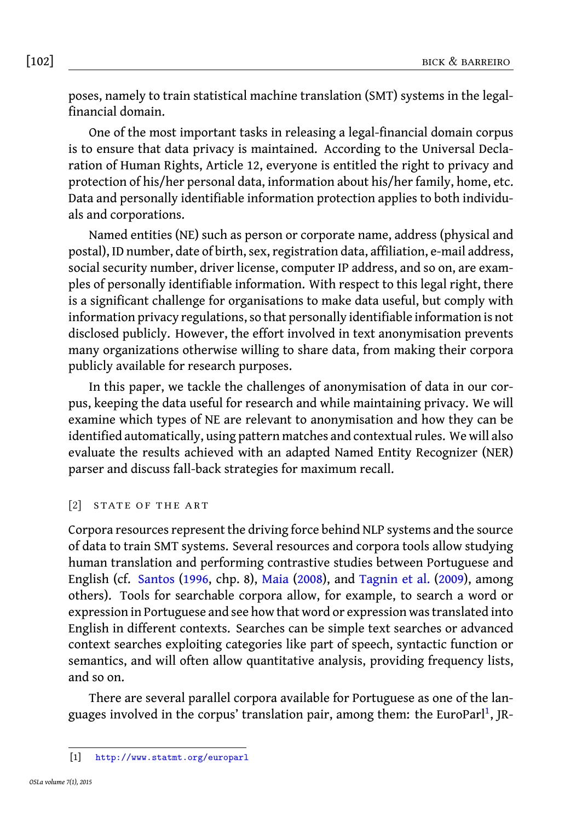[102] bick & barreiro

poses, namely to train statistical machine translation (SMT) systems in the legalfinancial domain.

One of the most important tasks in releasing a legal-financial domain corpus is to ensure that data privacy is maintained. According to the Universal Declaration of Human Rights, Article 12, everyone is entitled the right to privacy and protection of his/her personal data, information about his/her family, home, etc. Data and personally identifiable information protection applies to both individuals and corporations.

Named entities (NE) such as person or corporate name, address (physical and postal), ID number, date of birth, sex, registration data, affiliation, e-mail address, social security number, driver license, computer IP address, and so on, are examples of personally identifiable information. With respect to this legal right, there is a significant challenge for organisations to make data useful, but comply with information privacy regulations, so that personally identifiable information is not disclosed publicly. However, the effort involved in text anonymisation prevents many organizations otherwise willing to share data, from making their corpora publicly available for research purposes.

In this paper, we tackle the challenges of anonymisation of data in our corpus, keeping the data useful for research and while maintaining privacy. We will examine which types of NE are relevant to anonymisation and how they can be identified automatically, using pattern matches and contextual rules. We will also evaluate th[e results achie](#page-22-0)ved wit[h an adapte](#page-22-1)d Na[med Entity Re](#page-23-0)c[ogniz](#page-23-0)er (NER) parser and discuss fall-back strategies for maximum recall.

# [2] STATE OF THE ART

Corpora resources represent the driving force behind NLP systems and the source of data to train SMT systems. Several resources and corpora tools allow studying human translation and performing contrastive studies between Portuguese and English (cf. Santos (1996, chp. 8), Maia (2008), and Tagnin et al. (2009), a[m](#page-1-0)ong others). Tools for searchable corpora allow, for example, to search a word or expression in Portuguese and see how that word or expression was translated into Engl[ish in different contexts. Sea](http://www.statmt.org/europarl)rches can be simple text searches or advanced context searches exploiting categories like part of speech, syntactic function or semantics, and will often allow quantitative analysis, providing frequency lists, and so on.

<span id="page-1-0"></span>There are several parallel corpora available for Portuguese as one of the languages involved in the corpus' translation pair, among them: the EuroParl<sup>1</sup>, JR-

<sup>[1]</sup> http://www.statmt.org/europarl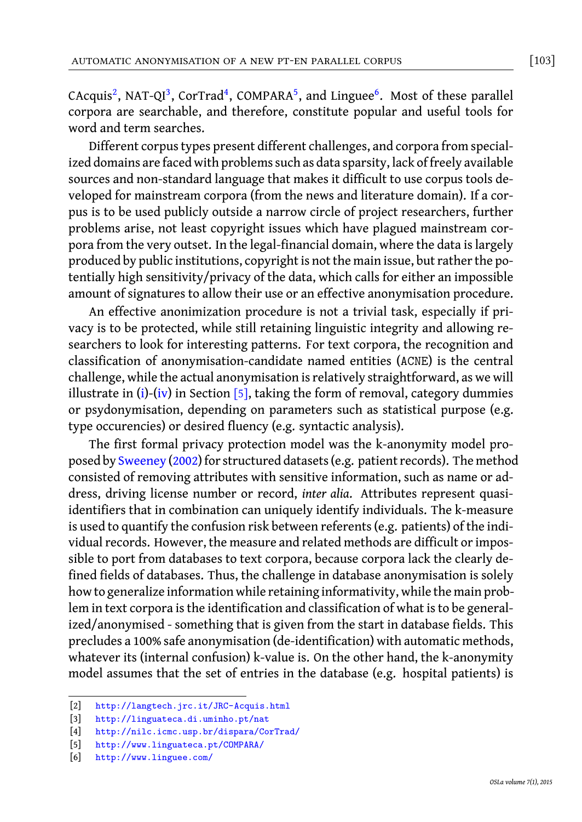automatic anonymisation of a new pt-en parallel corpus [103]

CAcquis<sup>2</sup>, NAT-QI<sup>3</sup>, CorTrad<sup>4</sup>, COMPARA<sup>5</sup>, and Linguee<sup>6</sup>. Most of these parallel corpora are searchable, and therefore, constitute popular and useful tools for word and term searches.

Different corpus types present different challenges, and corpora from specialized domains are faced with problems such as data sparsity, lack of freely available sources and non-standard language that makes it difficult to use corpus tools developed for mainstream corpora (from the news and literature domain). If a corpus is to be used publicly outside a narrow circle of project researchers, further problems arise, not least copyright issues which have plagued mainstream corpora from the very outset. In the legal-financial domain, where the data is largely produced by [p](#page-5-0)u[blic](#page-5-1) institution[s, c](#page-4-0)opyright is not the main issue, but rather the potentially high sensitivity/privacy of the data, which calls for either an impossible amount of signatures to allow their use or an effective anonymisation procedure.

An effective anonimization procedure is not a trivial task, especially if privacy is t[o be protected,](#page-23-1) while still retaining linguistic integrity and allowing researchers to look for interesting patterns. For text corpora, the recognition and classification of anonymisation-candidate named entities (ACNE) is the central challenge, while the actual anonymisation is relatively straightforward, as we will illustrate in (i)-(iv) in Section  $[5]$ , taking the form of removal, category dummies or psydonymisation, depending on parameters such as statistical purpose (e.g. type occurencies) or desired fluency (e.g. syntactic analysis).

The first formal privacy protection model was the k-anonymity model proposed by Sweeney (2002) for structured datasets (e.g. patient records). The method consisted of removing attributes with sensitive information, such as name or address, driving license number or record, *inter alia*. Attributes represent quasiidentifiers that in combination can uniquely identify individuals. The k-measure is used to quantify the confusion risk between referents (e.g. patients) of the individual records. However, the measure and related methods are difficult or impossible to port from databases to text corpora, because corpora lack the clearly define[d fields of databases. Thus, the challe](http://langtech.jrc.it/JRC-Acquis.html)nge in database anonymisation is solely how [to generalize information while retain](http://nilc.icmc.usp.br/dispara/CorTrad/)ing informativity, while the main problemi[n text corpora is the identificat](http://www.linguateca.pt/COMPARA/)ion and classification of what is to be generalized[/anonymised - someth](http://www.linguee.com/)ing that is given from the start in database fields. This precludes a 100% safe anonymisation (de-identification) with automatic methods, whatever its (internal confusion) k-value is. On the other hand, the k-anonymity model assumes that the set of entries in the database (e.g. hospital patients) is

<sup>[2]</sup> http://langtech.jrc.it/JRC-Acquis.html

<sup>[3]</sup> http://linguateca.di.uminho.pt/nat

<sup>[4]</sup> http://nilc.icmc.usp.br/dispara/CorTrad/

<sup>[5]</sup> http://www.linguateca.pt/COMPARA/

<sup>[6]</sup> http://www.linguee.com/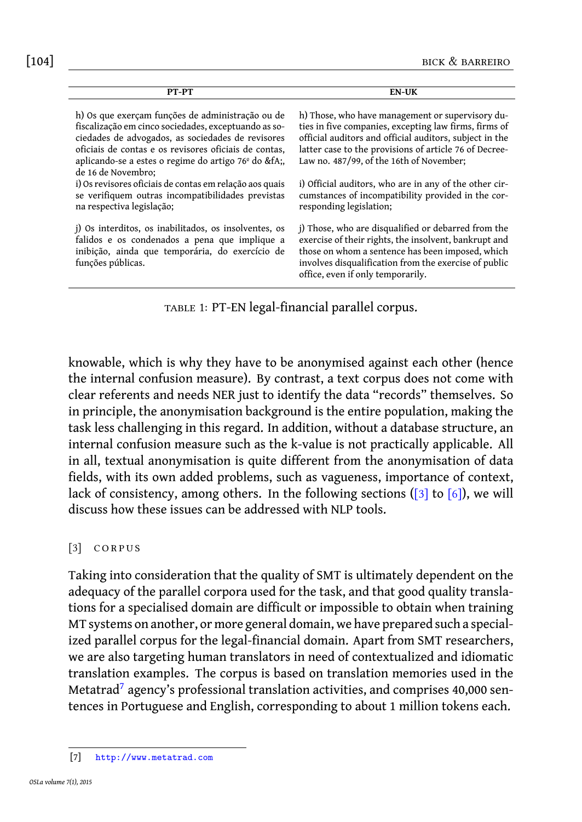[104] bick & barreiro

| PT-PT                                                                                                                                                                                                                                                                                                          | <b>EN-UK</b>                                                                                                                                                                                                                                                               |
|----------------------------------------------------------------------------------------------------------------------------------------------------------------------------------------------------------------------------------------------------------------------------------------------------------------|----------------------------------------------------------------------------------------------------------------------------------------------------------------------------------------------------------------------------------------------------------------------------|
| h) Os que exerçam funções de administração ou de<br>fiscalização em cinco sociedades, exceptuando as so-<br>ciedades de advogados, as sociedades de revisores<br>oficiais de contas e os revisores oficiais de contas.<br>aplicando-se a estes o regime do artigo 76 <sup>°</sup> do &fA<br>de 16 de Novembro: | h) Those, who have management or supervisory du-<br>ties in five companies, excepting law firms, firms of<br>official auditors and official auditors, subject in the<br>latter case to the provisions of article 76 of Decree-<br>Law no. 487/99, of the 16th of November; |
| i) Os revisores oficiais de contas em relação aos quais<br>se verifiquem outras incompatibilidades previstas<br>na respectiva legislação;                                                                                                                                                                      | i) Official auditors, who are in any of the other cir-<br>cumstances of incompatibility provided in the cor-<br>responding legislation;                                                                                                                                    |
| j) Os interditos, os inabilitados, os insolventes, os<br>falidos e os condenados a pena que implique a<br>inibição, ainda que temporária, do exercício de<br>funções públicas.                                                                                                                                 | j) Those, who are disqualified or debarred from the<br>exercise of their rights, the insolvent, bankrupt and<br>those on whom a sentence has been imposed, which<br>involves disqualification from the exercise of public<br>office, even if only temporarily.             |

table 1: PT-EN legal-financial parallel corpus.

<span id="page-3-0"></span>knowable, which is why they have to be anonymised against [eac](#page-3-0)h [othe](#page-15-0)r (hence the internal confusion measure). By contrast, a text corpus does not come with clear referents and needs NER just to identify the data "records" themselves. So in principle, the anonymisation background is the entire population, making the task less challenging in this regard. In addition, without a database structure, an internal confusion measure such as the k-value is not practically applicable. All in all, textual anonymisation is quite different from the anonymisation of data fields, with its own added problems, such as vagueness, importance of context, lack of consistency, among others. In the following sections ([3] to [6]), we will discuss how these issues can be addressed with NLP tools.

### $[3]$  CORPUS

<span id="page-3-1"></span>Taking into consideration that the quality of SMT is ultimately dependent on the adequacy of the parallel corpora used for the task, and that good quality translations for a specialised domain are difficult or impossible to obtain when training MT s[ystems on another, or](http://www.metatrad.com) more general domain, we have prepared such a specialized parallel corpus for the legal-financial domain. Apart from SMT researchers, we are also targeting human translators in need of contextualized and idiomatic translation examples. The corpus is based on translation memories used in the Metatrad<sup>7</sup> agency's professional translation activities, and comprises 40,000 sentences in Portuguese and English, corresponding to about 1 million tokens each.

<span id="page-3-2"></span>

<sup>[7]</sup> http://www.metatrad.com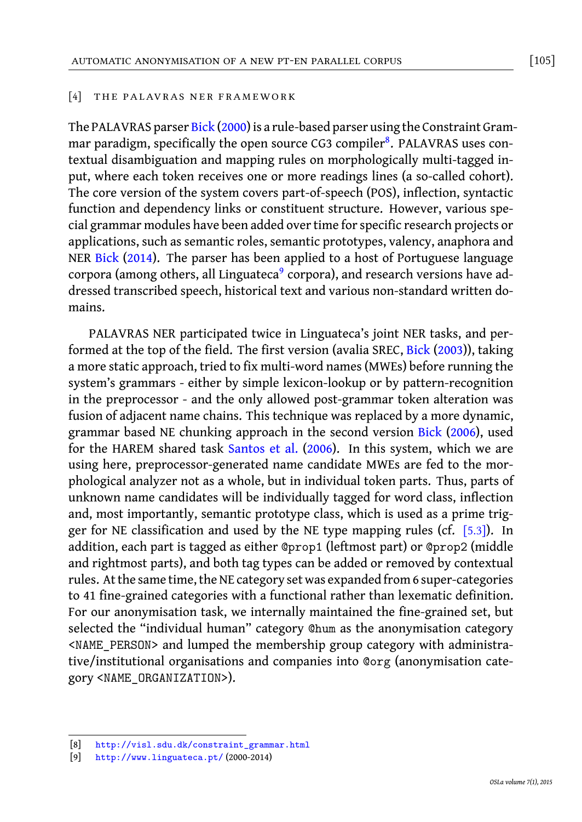#### [4] THE PALAVRAS NER FRAMEWORK

The [PALAVRAS](#page-22-2) parser Bick (2000) is a rule-based parser using the Constraint Grammar paradigm, specifically the open s[ou](#page-4-1)rce CG3 compiler<sup>8</sup>. PALAVRAS uses contextual disambiguation and mapping rules on morphologically multi-tagged input, where each token receives one or more readings lines (a so-called cohort). The core version of the system covers part-of-speech (POS), inflection, syntactic function and dependency links or constituent structure. Ho[wever, var](#page-22-3)ious special grammar modules have been added over time for specific research projects or applications, such as semantic roles, semantic prototypes, valency, anaphora and NER Bick (2014). The parser has been applied to a host of Portuguese language corpora (among others, all Linguateca $^9$  corpora), and research versions have addressed transcribed speech, historical text and various non-sta[ndard writt](#page-22-4)en domains.

PALAVRAS NER participated twice in Linguateca's joint NER tasks, and performed at the top of the field. The first version (avalia SREC, Bick (2003)), taking a more static approach, tried to fix multi-word names (MWEs) before running the system's grammars - either by simple lexicon-lookup or by pattern-recognition in the preprocessor - and the only allowed post-grammar token alter[ation](#page-9-0) was fusion of adjacent name chains. This technique was replaced by a more dynamic, grammar based NE chunking approach in the second version Bick (2006), used for the HAREM shared task Santos et al. (2006). In this system, which we are using here, preprocessor-generated name candidate MWEs are fed to the morphological analyzer not as a whole, but in individual token parts. Thus, parts of unknown name candidates will be individually tagged for word class, inflection and, most importantly, semantic prototype class, which is used as a prime trigger for NE classification and used by the NE type mapping rules (cf.  $[5.3]$ ). In addition, each part is tagged as either @prop1 (leftmost part) or @prop2 (middle and rightmost parts), and both tag types can be added or removed by contextual rules. At the same time, the NE category set was expanded from 6 super-categories to 41 fine-grained categories with a functional rather than lexematic definition. For [our anonymisation task, we internally m](http://visl.sdu.dk/constraint_grammar.html)aintained the fine-grained set, but sele[cted the "individual hum](http://www.linguateca.pt/)an" category @hum as the anonymisation category <NAME\_PERSON> and lumped the membership group category with administrative/institutional organisations and companies into @org (anonymisation category <NAME\_ORGANIZATION>).

<span id="page-4-1"></span><span id="page-4-0"></span><sup>[8]</sup> http://visl.sdu.dk/constraint\_grammar.html

<sup>[9]</sup> http://www.linguateca.pt/ (2000-2014)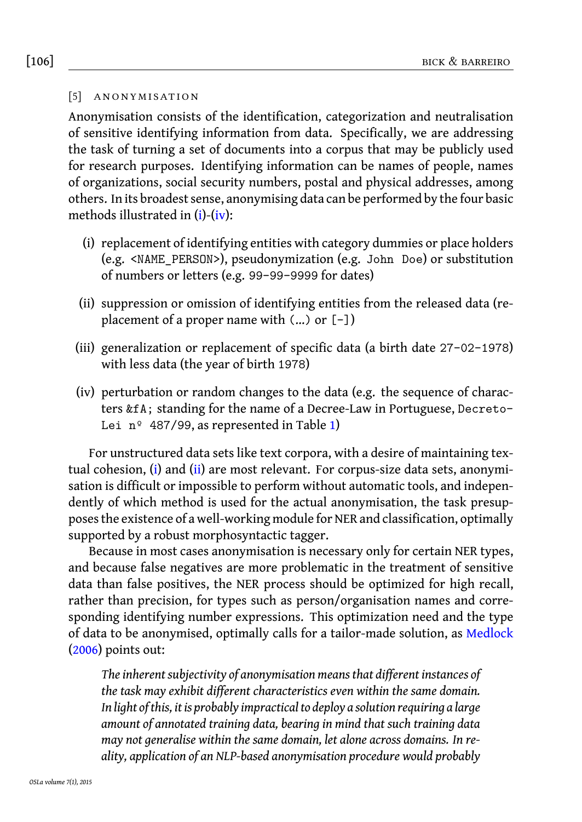# [106] bick & barreiro

#### <span id="page-5-0"></span>[5] ANONYMISATION

<span id="page-5-2"></span>Anonymisation consists of the identification, categorization and neutralisation of sensitive identifying information from data. Specifically, we are addressing the task of turning a set of documents into a corpus that may be publicly used for research purposes. Identifying information can be names of people, names of organizations, social security numbers, postal and physical addresses, among others. In its broadest sense, anonymising data can be performed by the four basic methods illustrated in (i)-(iv):

- <span id="page-5-1"></span>(i) replacement of identifying entities with category dummies or place holders (e.g. <NAME\_PERSON>), pseudonymization (e.g. John Doe) or substitution of numbers or letters (e.g. 99-99-9999 for dates)
- (ii) suppression or omission of identifying e[nt](#page-3-2)ities from the released data (replacement of a proper name with (...) or [-])
- (iii) generaliz[a](#page-5-0)tion o[r](#page-5-2) replacement of specific data (a birth date 27-02-1978) with less data (the year of birth 1978)
- (iv) perturbation or random changes to the data (e.g. the sequence of characters &fA; standing for the name of a Decree-Law in Portuguese, Decreto-Lei  $n^{\circ}$  487/99, as represented in Table 1)

For unstructured data sets like text corpora, with a desire of maintaining textual cohesion, (i) and (ii) are most relevant. For corpus-size data sets, anonymisation is difficult or impossible to perform without automatic tools, and independently of which method is used for the actual anonymisation, the tas[k presup](#page-22-5)[poses](#page-22-5) the existence of a well-working module for NER and classification, optimally supported by a robust morphosyntactic tagger.

Because in most cases anonymisation is necessary only for certain NER types, and because false negatives are more problematic in the treatment of sensitive data than false positives, the NER process should be optimized for high recall, rather than precision, for types such as person/organisation names and corresponding identifying number expressions. This optimization need and the type of data to be anonymised, optimally calls for a tailor-made solution, as Medlock (2006) points out:

*The inherent subjectivity of anonymisation means that different instances of the task may exhibit different characteristics even within the same domain. In light of this, it is probably impractical to deploy a solution requiring a large amount of annotated training data, bearing in mind that such training data may not generalise within the same domain, let alone across domains. In reality, application of an NLP-based anonymisation procedure would probably*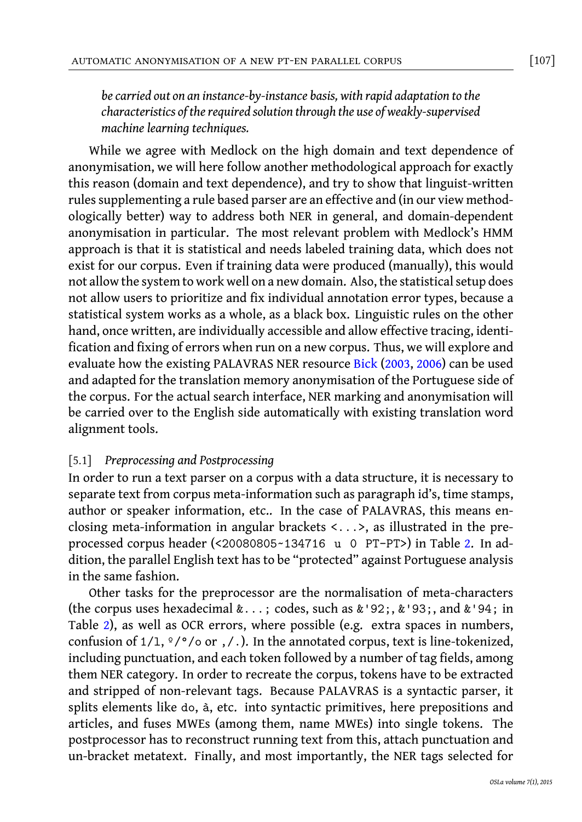#### automatic anonymisation of a new pt-en parallel corpus [107]

*be carried out on an instance-by-instance basis, with rapid adaptation to the characteristics of the required solution through the use of weakly-supervised machine learning techniques.*

While we agree with Medlock on the high domain and text dependence of anonymisation, we will here follow another methodological approach for exactly this reason (domain and text dependence), and try to show that linguist-written rules supplementing a rule based parser are an effective and (in our view methodologically better) way to address both NER in general, and domain-dependent anonymisation in particular. The most relevant p[roblem wit](#page-22-3)[h Med](#page-22-4)lock's HMM approach is that it is statistical and needs labeled training data, which does not exist for our corpus. Even if training data were produced (manually), this would not allow the system to work well on a new domain. Also, the statistical setup does not allow users to prioritize and fix individual annotation error types, because a statistical system works as a whole, as a black box. Linguistic rules on the other hand, once written, are individually accessible and allow effective tracing, identification and fixing of errors when run on a new corpus. Thus, we will explore and evaluate how the existing PALAVRAS NER resource Bick (2003, 2006) can be used and adapted for the translation memory anonymisation of the Portuguese side of the corpus. For the actual search interface, NER marking and anonymisation will be carried over to the English side automatically with existing translat[io](#page-7-0)n word alignment tools.

# [5.1] *Preprocessing and Postprocessing*

In order to run a text parser on a corpus with a data structure, it is necessary to separ[ate](#page-7-0) text from corpus meta-information such as paragraph id's, time stamps, author or speaker information, etc.. In the case of PALAVRAS, this means enclosing meta-information in angular brackets <...>, as illustrated in the preprocessed corpus header (<20080805~134716 u 0 PT-PT>) in Table 2. In addition, the parallel English text has to be "protected" against Portuguese analysis in the same fashion.

Other tasks for the preprocessor are the normalisation of meta-characters (the corpus uses hexadecimal &...; codes, such as &'92;, &'93;, and &'94; in Table 2), as well as OCR errors, where possible (e.g. extra spaces in numbers, confusion of  $1/1$ ,  $\frac{\circ}{\circ}$  / $\circ$  or , / .). In the annotated corpus, text is line-tokenized, including punctuation, and each token followed by a number of tag fields, among them NER category. In order to recreate the corpus, tokens have to be extracted and stripped of non-relevant tags. Because PALAVRAS is a syntactic parser, it splits elements like do, à, etc. into syntactic primitives, here prepositions and articles, and fuses MWEs (among them, name MWEs) into single tokens. The postprocessor has to reconstruct running text from this, attach punctuation and un-bracket metatext. Finally, and most importantly, the NER tags selected for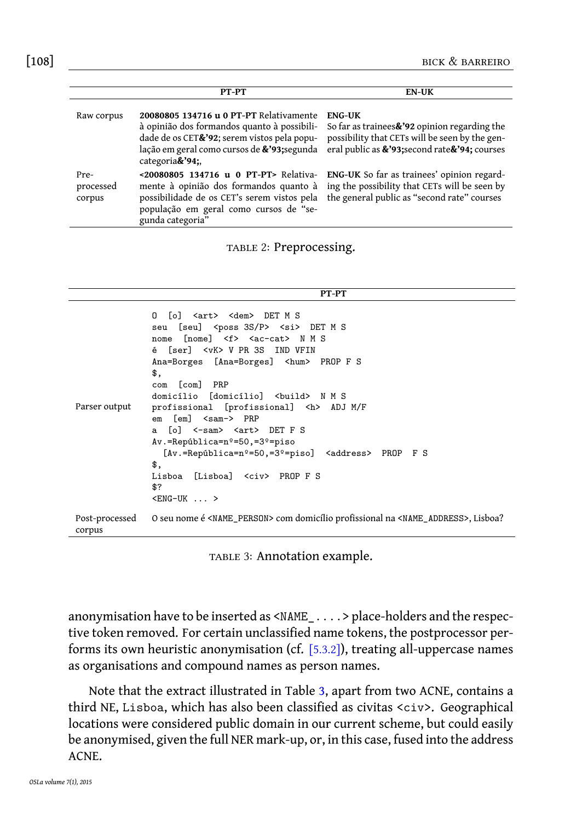<span id="page-7-0"></span>[108] bick & barreiro

<span id="page-7-1"></span>

|                             | PT-PT                                                                                                                                                                                                              | <b>EN-UK</b>                                                                                                                                                           |
|-----------------------------|--------------------------------------------------------------------------------------------------------------------------------------------------------------------------------------------------------------------|------------------------------------------------------------------------------------------------------------------------------------------------------------------------|
| Raw corpus                  | 20080805 134716 u 0 PT-PT Relativamente<br>à opinião dos formandos quanto à possibili-<br>dade de os CET&'92; serem vistos pela popu-<br>lação em geral como cursos de <b>&amp;'93</b> ; segunda<br>categoria&'94; | <b>ENG-UK</b><br>So far as trainees $\& 22$ opinion regarding the<br>possibility that CETs will be seen by the gen-<br>eral public as &'93; second rate & '94; courses |
| Pre-<br>processed<br>corpus | <20080805 134716 u 0 PT-PT> Relativa-<br>mente à opinião dos formandos quanto à<br>possibilidade de os CET's serem vistos pela<br>população em geral como cursos de "se-<br>gunda categoria"                       | <b>ENG-UK</b> So far as trainees' opinion regard-<br>ing the possibility that CETs will be seen by<br>the general public as "second rate" courses                      |

TABLE 2: Preprocessing.

|--|

```
Parser output
              O [o] <art> <dem> DET M S
              seu [seu] <poss 3S/P> <si> DET M S
              nome [nome] <f> <ac-cat> N M S
              é [ser] <vK> V PR 3S IND VFIN
              Ana=Borges [Ana=Borges] <hum> PROP F S
              $.com [com] PRP
              domicílio [domicílio] <build> N M S
              profissional [profissional] <h> ADJ M/F
              em [em] <sam-> PRP
              a [o] <-sam> <art> DET F S
              Av.=República=nº=50,=3º=piso
                [Av.=República=nº=50,=3º=piso] <address> PROP F S
              $,
              Lisboa [Lisboa] <civ> PROP F S
              $?

Post-processed
corpus
              O seu nome é <NAME_PERSON> com domicílio profissional na <NAME_ADDRESS>, Lisboa?
```
TABLE 3: Annotatio[n e](#page-7-1)xample.

anonymisation have to be inserted as <NAME\_....> place-holders and the respective token removed. For certain unclassified name tokens, the postprocessor performs its own heuristic anonymisation (cf. [5.3.2]), treating all-uppercase names as organisations and compound names as person names.

Note that the extract illustrated in Table 3, apart from two ACNE, contains a third NE, Lisboa, which has also been classified as civitas <civ>. Geographical locations were considered public domain in our current scheme, but could easily be anonymised, given the full NER mark-up, or, in this case, fused into the address ACNE.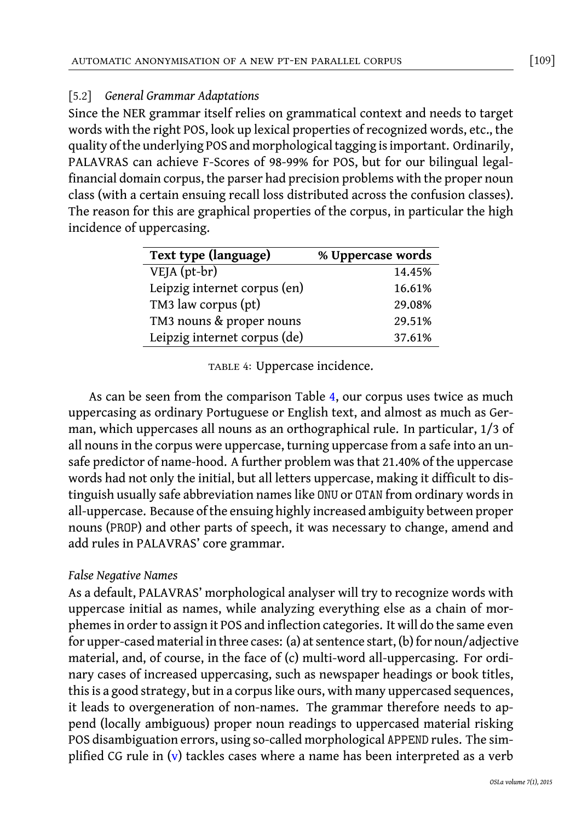#### automatic anonymisation of a new pt-en parallel corpus [109]

# [5.2] *General Grammar Adaptations*

<span id="page-8-0"></span>Since the NER grammar itself relies on grammatical context and needs to target words with the right POS, look up lexical properties of recognized words, etc., the quality of the underlying POS and morphological tagging is important. Ordinarily, PALAVRAS can achieve F-Scores of 98-99% for POS, but for our bilingual legalfinancial domain corpus, the parser had precision problems with the proper noun class (with a certain ensuing recall loss distributed across the confusion classes). The reason for this are graphical properties of the corpus, in particular the high incidence of uppercasing.

| Text type (language)         | % Uppercase words |
|------------------------------|-------------------|
| $VEJA (pt-br)$               | 14.45%            |
| Leipzig internet corpus (en) | 16.61%            |
| TM3 law corpus (pt)          | 29.08%            |
| TM3 nouns & proper nouns     | 29.51%            |
| Leipzig internet corpus (de) | 37.61%            |

TABLE 4: Uppercase incidence.

As can be seen from the comparison Table 4, our corpus uses twice as much uppercasing as ordinary Portuguese or English text, and almost as much as German, which uppercases all nouns as an orthographical rule. In particular, 1/3 of all nouns in the corpus were uppercase, turning uppercase from a safe into an unsafe predictor of name-hood. A further problem was that 21.40% of the uppercase words had not only the initial, but all letters uppercase, making it difficult to distinguish usually safe abbreviation names like ONU or OTAN from ordinary words in all-uppercase. Because of the ensuing highly increased ambiguity between proper nouns (PROP) and other parts of speech, it was necessary to change, amend and add rules in PALAVRAS' core grammar.

# *False Negative Names*

As a default, PALAVRAS' morphological analyser will try to recognize words with uppercase initial as names, while analyzing everything else as a chain of morphemes in order to [a](#page-9-1)ssign it POS and inflection categories. It will do the same even for upper-cased material in three cases: (a) at sentence start, (b) for noun/adjective material, and, of course, in the face of (c) multi-word all-uppercasing. For ordinary cases of increased uppercasing, such as newspaper headings or book titles, this is a good strategy, but in a corpus like ours, with many uppercased sequences, it leads to overgeneration of non-names. The grammar therefore needs to append (locally ambiguous) proper noun readings to uppercased material risking POS disambiguation errors, using so-called morphological APPEND rules. The simplified CG rule in (v) tackles cases where a name has been interpreted as a verb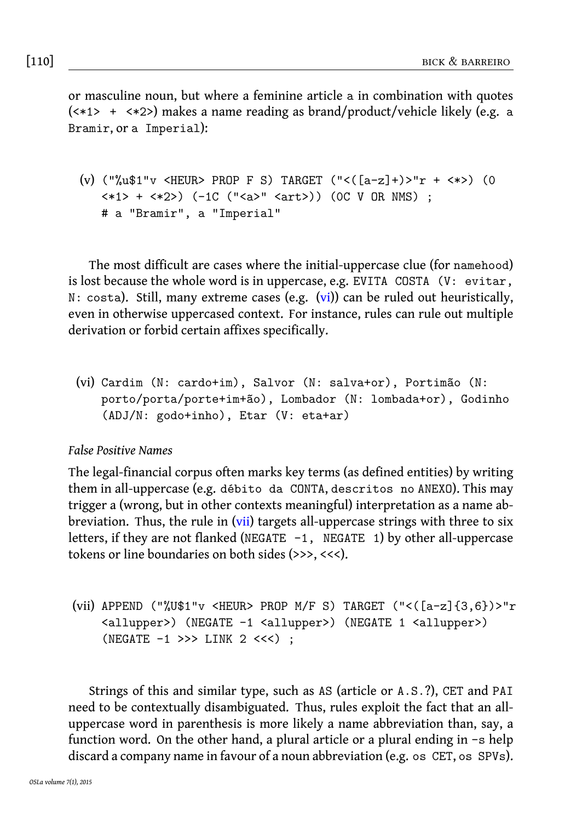<span id="page-9-1"></span>

|  | $\lceil 110 \rceil$ | BICK & BARREIRO |
|--|---------------------|-----------------|
|--|---------------------|-----------------|

or masculine noun, but where a feminine article a in combination with quotes (<\*1> + <\*2>) makes a name reading as brand/product/vehicle likely (e.g. a Bramir, or a Imperial):

```
(v) ("\text{u$1"v$ <b>HEUR&gt; PROP F S) TARGET</b> ("<([a-z]+)> "r + <*) (0<*1> + <*2>) (-1C ("<a>" <art>)) (0C V OR NMS) ;
   # a "Bramir", a "Imperial"
```
The most difficult are cases where the initial-uppercase clue (for namehood) is lost because the whole word is in uppercase, e.g. EVITA COSTA (V: evitar, N: costa). Still, many extreme cases (e.g. (vi)) can be ruled out heuristically, even in otherwise uppercased context. For instance, rules can rule out multiple derivation or forbid certain affixes specifically.

(vi) Cardim (N: cardo+im[\),](#page-9-2) Salvor (N: salva+or), Portimão (N: porto/porta/porte+im+ão), Lombador (N: lombada+or), Godinho (ADJ/N: godo+inho), Etar (V: eta+ar)

<span id="page-9-2"></span>*False Positive Names*

The legal-financial corpus often marks key terms (as defined entities) by writing them in all-uppercase (e.g. débito da CONTA, descritos no ANEXO). This may trigger a (wrong, but in other contexts meaningful) interpretation as a name abbreviation. Thus, the rule in (vii) targets all-uppercase strings with three to six letters, if they are not flanked (NEGATE  $-1$ , NEGATE 1) by other all-uppercase tokens or line boundaries on both sides (>>>, <<<).

```
(vii) APPEND ("%U$1"v <HEUR> PROP M/F S) TARGET ("<([a-z]{3,6})>"r
    <allupper>) (NEGATE -1 <allupper>) (NEGATE 1 <allupper>)
    (NEGATE -1 >>> LINK 2 <<<) ;
```
Strings of this and similar type, such as AS (article or A.S.?), CET and PAI need to be contextually disambiguated. Thus, rules exploit the fact that an alluppercase word in parenthesis is more likely a name abbreviation than, say, a function word. On the other hand, a plural article or a plural ending in -s help discard a company name in favour of a noun abbreviation (e.g. os CET, os SPVs).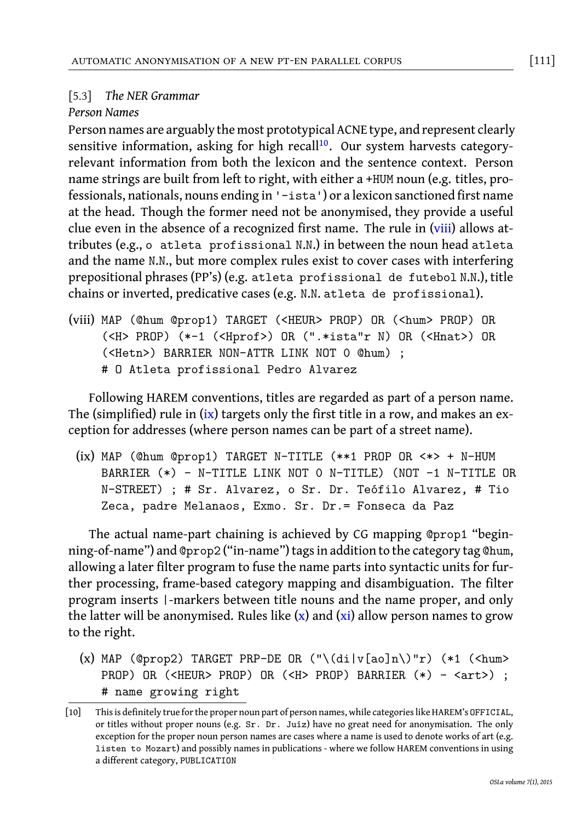automatic anonymisation of a new pt-en parallel corpus [111]

# [5.3] *The NER Grammar*

### *Person Names*

Person names are arguably the most prototypical ACNE type, and represent clearly sensitive information, asking for high recall<sup>10</sup>. Our system harvests categoryrelevant information from both the lexicon and the sentence context. Person name strings are built from left to right, with either a +HUM noun (e.g. titles, professionals, nationals, nouns ending in '-ista') or a lexicon sanctioned first name at the head. Though the former need not be anonymised, they provide a useful clue even in the absence of a recognized first name. The rule in (viii) allows attributes (e.g., o atleta profissional N.N.) in between the noun head atleta and the name N.N., but more complex rules exist to cover cases with interfering prepositional phrases (P[P's](#page-10-0)) (e.g. atleta profissional de futebol N.N.), title chains or inverted, predicative cases (e.g. N.N. atleta de profissional).

<span id="page-10-0"></span>(viii) MAP (@hum @prop1) TARGET (<HEUR> PROP) OR (<hum> PROP) OR (<H> PROP) (\*-1 (<Hprof>) OR (".\*ista"r N) OR (<Hnat>) OR (<Hetn>) BARRIER NON-ATTR LINK NOT 0 @hum) ; # O Atleta profissional Pedro Alvarez

Following HAREM conventions, titles are regarded as part of a person name. The (simplified) rule in (ix) targets only the first title in a row, and makes an exception for addresses (where person names can be part of a street name).

(ix) MAP (@hum @prop1) TARGET N-TITLE (\*\*1 PROP OR <\*> + N-HUM BARRIER (\*) - N-TITLE LINK NOT 0 N-TITLE) (NOT -1 N-TITLE OR N-STREET) ; # Sr. Alvarez, o [S](#page-10-1)r. D[r.](#page-11-1) Teófilo Alvarez, # Tio Zeca, padre Melanaos, Exmo. Sr. Dr.= Fonseca da Paz

<span id="page-10-1"></span>The actual name-part chaining is achieved by CG mapping @prop1 "beginning-of-name") and @prop2 ("in-name") tags in addition to the category tag @hum, allowing a later filter program to fuse the name parts into syntactic units for further processing, frame-based category mapping and disambiguation. The filter program inserts |-markers between title nouns and the name proper, and only the latter will be anonymised. Rules like  $(x)$  and  $(xi)$  allow person names to grow to the right.

(x) MAP (@prop2) TARGET PRP-DE OR  $(\sqrt{d}i|\sqrt{a}o]n\rangle \$ "r) (\*1 (<hum> PROP) OR (<HEUR> PROP) OR (<H> PROP) BARRIER (\*) - <art>) ; # name growing right

<sup>[10]</sup> This is definitely true for the proper noun part of person names, while categories like HAREM's OFFICIAL, or titles without proper nouns (e.g. Sr. Dr. Juíz) have no great need for anonymisation. The only exception for the proper noun person names are cases where a name is used to denote works of art (e.g. listen to Mozart) and possibly names in publications - where we follow HAREM conventions in using a different category, PUBLICATION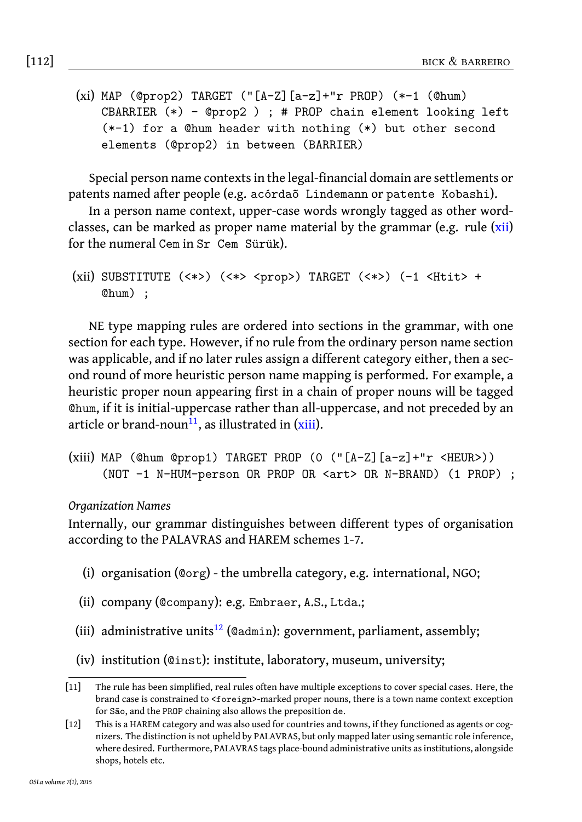<span id="page-11-1"></span>

|  | $[112]$ | BICK & BARREIRO |
|--|---------|-----------------|
|--|---------|-----------------|

(xi) MAP (@prop2) TARGET ("[A-Z][a-z]+"r PROP) (\*-1 (@hum) CBARRIER (\*) - @prop2 ) ; # PROP chain element looking left (\*-1) for a @hum header with nothing (\*) but other second elements (@prop2) in between (BARRIER)

Special person name contexts in the legal-financial domain are settlements or patents named after people (e.g. acórdaõ Lindemann or patente Kobashi).

In a person name context, upper-case words wrongly tagged as other wordclasses, can be marked as proper name material by the grammar (e.g. rule (xii) for the numeral Cem in Sr Cem Sürük).

```
(xii) SUBSTITUTE (<*>) (<*> <prop>) TARGET (<*>) (-1 <Htit> +
    @hum) ;
```
<span id="page-11-3"></span><span id="page-11-0"></span>NE type mapping rules are ordered into sections in the grammar, with one section for each type. However, if no rule from the ordinary person name section was applicable, and if no later rules assign a different category either, then a second round of more heuristic person name mapping is performed. For example, a heuristic proper noun appearing first in a chain of proper nouns will be tagged @hum, if it is initial-uppercase rather than all-uppercase, and not preceded by an article or brand-noun<sup>11</sup>, as illustrated in  $(xiii)$ .

```
(xiii) MAP (@hum @prop1) TARGET PROP (0 ("[A-Z][a-z]+"r <HEUR>))
     (NOT -1 N-HUM-person OR PROP OR <art> OR N-BRAND) (1 PROP) ;
```
#### *Organization Names*

Internally, our grammar distinguishes between different types of organisation according to the PALAVRAS and HAREM schemes 1-7.

- <span id="page-11-2"></span>(i) organisation (@org) - the umbrella category, e.g. international, NGO;
- (ii) company (@company): e.g. Embraer, A.S., Ltda.;
- (iii) administrative units<sup>12</sup> (@admin): government, parliament, assembly;
- (iv) institution (@inst): institute, laboratory, museum, university;

<sup>[11]</sup> The rule has been simplified, real rules often have multiple exceptions to cover special cases. Here, the brand case is constrained to <foreign>-marked proper nouns, there is a town name context exception for São, and the PROP chaining also allows the preposition de.

<sup>[12]</sup> This is a HAREM category and was also used for countries and towns, if they functioned as agents or cognizers. The distinction is not upheld by PALAVRAS, but only mapped later using semantic role inference, where desired. Furthermore, PALAVRAS tags place-bound administrative units as institutions, alongside shops, hotels etc.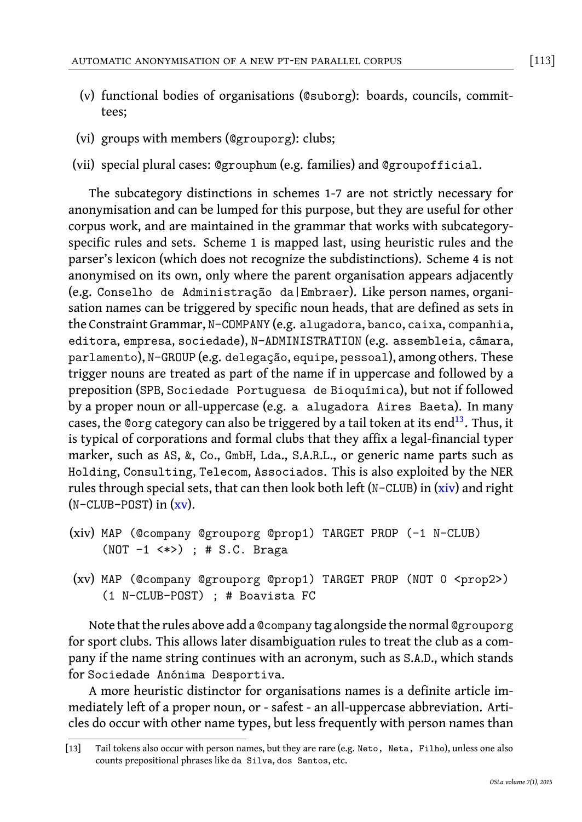- (v) functional bodies of organisations (@suborg): boards, councils, committees;
- (vi) groups with members (@grouporg): clubs;
- (vii) special plural cases: @grouphum (e.g. families) and @groupofficial.

The subcategory distinctions in schemes 1-7 are not strictly necessary for anonymisation and can be lumped for this purpose, but they are useful for other corpus work, and are maintained in the grammar that works with subcategoryspecific rules and sets. Scheme 1 is mapped last, using heuristic rules and the parser's lexicon (which does not recognize the subdistinctions). Scheme 4 is not anonymised on its own, only where the parent organisation appears adjacently (e.g. Conselho de Administração da|Embraer). Like person nam[es](#page-12-0), organisation names can be triggered by specific noun heads, that are defined as sets in the Constraint Grammar, N-COMPANY (e.g. alugadora, banco, caixa, companhia, editora, empresa, sociedade), N-ADMINISTRATION (e.g. assembleia, câmara, parlamento), N-GROUP (e.g. delegação, equipe, pessoal), among [oth](#page-12-1)ers. These trigger nouns are [trea](#page-12-2)ted as part of the name if in uppercase and followed by a preposition (SPB, Sociedade Portuguesa de Bioquímica), but not if followed by a proper noun or all-uppercase (e.g. a alugadora Aires Baeta). In many cases, the @org category can also be triggered by a tail token at its end<sup>13</sup>. Thus, it is typical of corporations and formal clubs that they affix a legal-financial typer marker, such as AS, &, Co., GmbH, Lda., S.A.R.L., or generic name parts such as Holding, Consulting, Telecom, Associados. This is also exploited by the NER rules through special sets, that can then look both left ( $N-CLUB$ ) in  $(xiv)$  and right  $(N-CLUB-POST)$  in  $(xv)$ .

- <span id="page-12-2"></span><span id="page-12-1"></span>(xiv) MAP (@company @grouporg @prop1) TARGET PROP (-1 N-CLUB) (NOT -1 <\*>) ; # S.C. Braga
- (xv) MAP (@company @grouporg @prop1) TARGET PROP (NOT 0 <prop2>) (1 N-CLUB-POST) ; # Boavista FC

<span id="page-12-0"></span>Note that the rules above add a @company tag alongside the normal @grouporg for sport clubs. This allows later disambiguation rules to treat the club as a company if the name string continues with an acronym, such as S.A.D., which stands for Sociedade Anónima Desportiva.

A more heuristic distinctor for organisations names is a definite article immediately left of a proper noun, or - safest - an all-uppercase abbreviation. Articles do occur with other name types, but less frequently with person names than

<sup>[13]</sup> Tail tokens also occur with person names, but they are rare (e.g. Neto, Neta, Filho), unless one also counts prepositional phrases like da Silva, dos Santos, etc.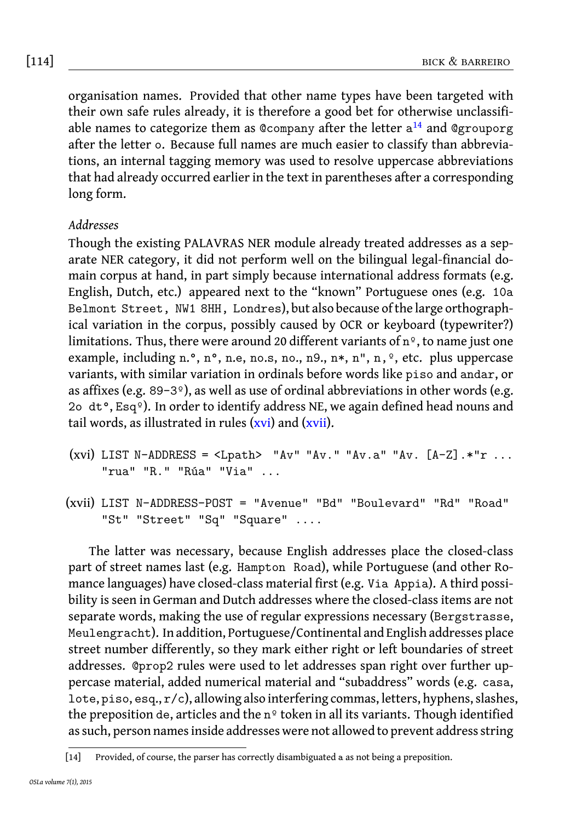[114] bick & barreiro

organisation names. Provided that other name types have been targeted with their own safe rules already, it is therefore a good bet for otherwise unclassifiable names to categorize them as @company after the letter  $\mathrm{a}^{14}$  and @grouporg after the letter o. Because full names are much easier to classify than abbreviations, an internal tagging memory was used to resolve uppercase abbreviations that had already occurred earlier in the text in parentheses after a corresponding long form.

# *Addresses*

<span id="page-13-0"></span>Though the existing PALAVRAS NER module already treated addresses as a separate NER category, it did not perform well on the bilingual legal-financial domain corpus at hand, in part simply because international address formats (e.g. English, Dutch, etc.) appeared n[ext](#page-13-0) to th[e "kn](#page-13-1)own" Portuguese ones (e.g. 10a Belmont Street, NW1 8HH, Londres), but also because of the large orthographical variation in the corpus, possibly caused by OCR or keyboard (typewriter?) limitations. Thus, there were around 20 different variants of nº, to name just one example, including n. $\degree$ , n. $\degree$ , n.e, no.s, no., n.g., n\*, n,  $\degree$ , etc. plus uppercase variants, with similar variation in ordinals before words like piso and andar, or as affixes (e.g. 89-3 $\degree$ ), as well as use of ordinal abbreviations in other words (e.g. 2o dt°, Esqº). In order to identify address NE, we again defined head nouns and tail words, as illustrated in rules  $(xvi)$  and  $(xvii)$ .

```
(xvi) LIST N-ADDRESS = <Lpath> "Av" "Av." "Av.a" "Av. [A-Z].*"r ...
    "rua" "R." "Rúa" "Via" ...
```
(xvii) LIST N-ADDRESS-POST = "Avenue" "Bd" "Boulevard" "Rd" "Road" "St" "Street" "Sq" "Square" ....

The latter was necessary, because English addresses place the closed-class part of street names last (e.g. Hampton Road), while Portuguese (and other Romance languages) have closed-class material first (e.g. Via Appia). A third possibility is seen in German and Dutch addresses where the closed-class items are not separate words, making the use of regular expressions necessary (Bergstrasse, Meulengracht). In addition, Portuguese/Continental and English addresses place street number differently, so they mark either right or left boundaries of street addresses. @prop2 rules were used to let addresses span right over further uppercase material, added numerical material and "subaddress" words (e.g. casa, lote, piso, esq., r/c), allowing also interfering commas, letters, hyphens, slashes, the preposition de, articles and the  $n^{\circ}$  token in all its variants. Though identified as such, person names inside addresses were not allowed to prevent address string

<sup>[14]</sup> Provided, of course, the parser has correctly disambiguated a as not being a preposition.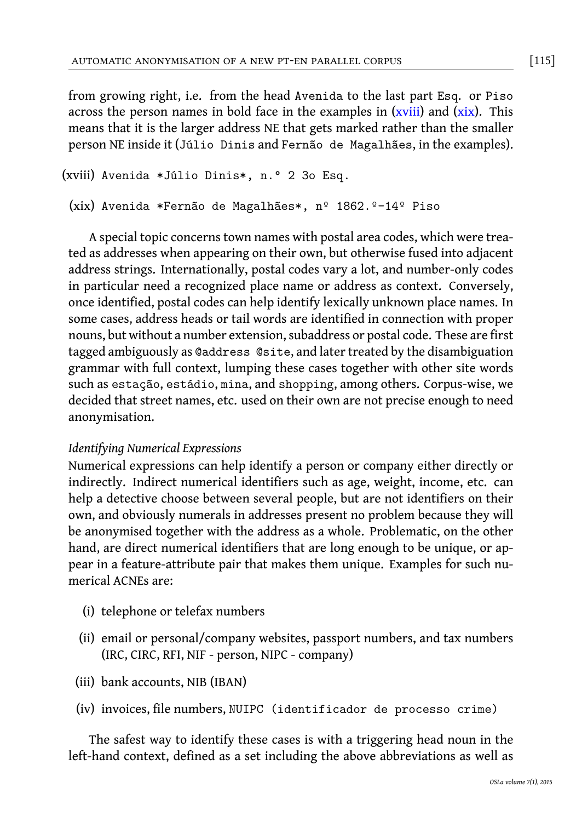automatic anonymisation of a new pt-en parallel corpus [115]

from growing right, i.e. from the head Avenida to the last part Esq. or Piso across the person names in bold face in the examples in  $(xviii)$  and  $(xix)$ . This means that it is the larger address NE that gets marked rather than the smaller person NE inside it (Júlio Dinis and Fernão de Magalhães, in the examples).

```
(xviii) Avenida *Júlio Dinis*, n.° 2 3o Esq.
```

```
(xix) Avenida *Fernão de Magalhães*, nº 1862.º-14º Piso
```
A special topic concerns town names with postal area codes, which were treated as addresses when appearing on their own, but otherwise fused into adjacent address strings. Internationally, postal codes vary a lot, and number-only codes in particular need a recognized place name or address as context. Conversely, once identified, postal codes can help identify lexically unknown place names. In some cases, address heads or tail words are identified in connection with proper nouns, but without a number extension, subaddress or postal code. These are first tagged ambiguously as @address @site, and later treated by the disambiguation grammar with full context, lumping these cases together with other site words such as estação, estádio, mina, and shopping, among others. Corpus-wise, we decided that street names, etc. used on their own are not precise enough to need anonymisation.

# *Identifying Numerical Expressions*

Numerical expressions can help identify a person or company either directly or indirectly. Indirect numerical identifiers such as age, weight, income, etc. can help a detective choose between several people, but are not identifiers on their own, and obviously numerals in addresses present no problem because they will be anonymised together with the address as a whole. Problematic, on the other hand, are direct numerical identifiers that are long enough to be unique, or appear in a feature-attribute pair that makes them unique. Examples for such numerical ACNEs are:

- (i) telephone or telefax numbers
- (ii) email or personal/company websites, passport numbers, and tax numbers (IRC, CIRC, RFI, NIF - person, NIPC - company)
- (iii) bank accounts, NIB (IBAN)
- (iv) invoices, file numbers, NUIPC (identificador de processo crime)

The safest way to identify these cases is with a triggering head noun in the left-hand context, defined as a set including the above abbreviations as well as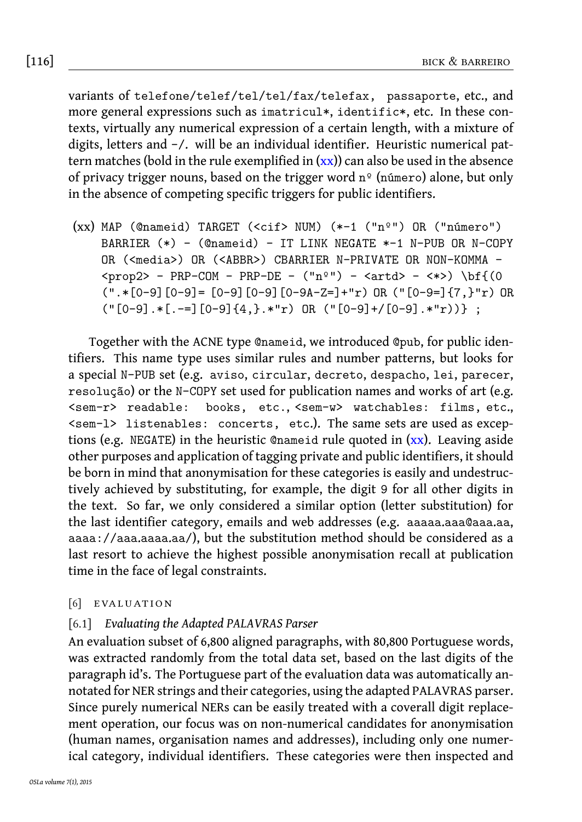# [116] bick & barreiro

<span id="page-15-1"></span>variants of telefone/telef/tel/tel/fax/telefax, passaporte, etc., and more general expressions such as imatricul\*, identific\*, etc. In these contexts, virtually any numerical expression of a certain length, with a mixture of digits, letters and -/. will be an individual identifier. Heuristic numerical pattern matches (bold in the rule exemplified in  $(xx)$ ) can also be used in the absence of privacy trigger nouns, based on the trigger word  $n^{\circ}$  (número) alone, but only in the absence of competing specific triggers for public identifiers.

(xx) MAP (@nameid) TARGET (<cif> NUM) (\*-1 ("nº") OR ("número") BARRIER (\*) - (@nameid) - IT LINK NEGATE \*-1 N-PUB OR N-COPY OR (<media>) OR (<ABBR>) CBARRIER N-PRIVATE OR NON-KOMMA - $\text{prop2}$  - PRP-COM - PRP-DE - ("nº") -  $\text{artd}$  -  $\text{*}$ ) \bf{(0  $(".*[0-9][0-9]=[0-9][0-9][0-9A-Z=]+"r) OR ("[0-9=]{7,} "r) OR$  $("[0-9].*[-=][0-9]{4},$  $("[0-9].*[-=][0-9]{4},$  $("[0-9].*[-=][0-9]{4},$  \*"r) OR  $("[0-9]+/[0-9].$  \*"r))} ;

<span id="page-15-0"></span>Together with the ACNE type @nameid, we introduced @pub, for public identifiers. This name type uses similar rules and number patterns, but looks for a special N-PUB set (e.g. aviso, circular, decreto, despacho, lei, parecer, resolução) or the N-COPY set used for publication names and works of art (e.g. <sem-r> readable: books, etc., <sem-w> watchables: films, etc., <sem-l> listenables: concerts, etc.). The same sets are used as exceptions (e.g. NEGATE) in the heuristic @nameid rule quoted in  $(xx)$ . Leaving aside other purposes and application of tagging private and public identifiers, it should be born in mind that anonymisation for these categories is easily and undestructively achieved by substituting, for example, the digit 9 for all other digits in the text. So far, we only considered a similar option (letter substitution) for the last identifier category, emails and web addresses (e.g. aaaaa.aaa@aaa.aa, aaaa://aaa.aaaa.aa/), but the substitution method should be considered as a last resort to achieve the highest possible anonymisation recall at publication time in the face of legal constraints.

# $[6]$  EVALUATION

# [6.1] *Evaluating the Adapted PALAVRAS Parser*

An evaluation subset of 6,800 aligned paragraphs, with 80,800 Portuguese words, was extracted randomly from the total data set, based on the last digits of the paragraph id's. The Portuguese part of the evaluation data was automatically annotated for NER strings and their categories, using the adapted PALAVRAS parser. Since purely numerical NERs can be easily treated with a coverall digit replacement operation, our focus was on non-numerical candidates for anonymisation (human names, organisation names and addresses), including only one numerical category, individual identifiers. These categories were then inspected and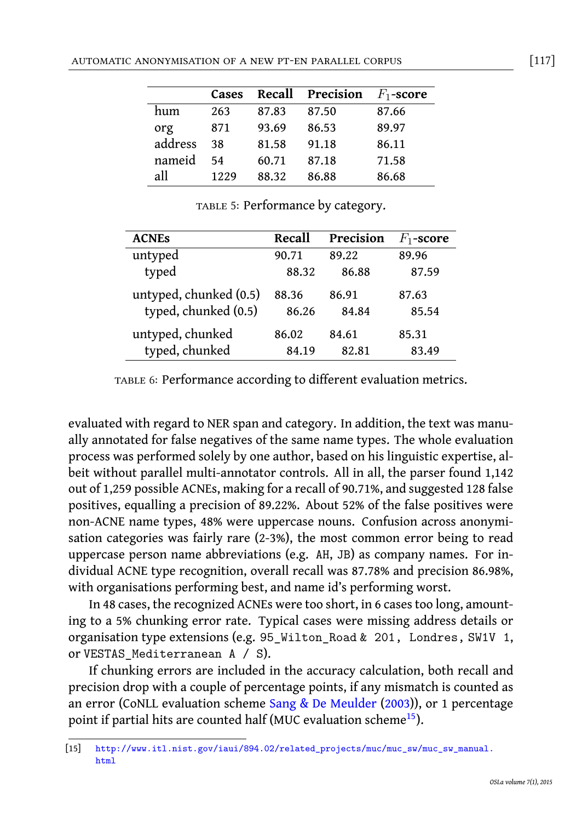| AUTOMATIC ANONYMISATION OF A NEW PT-EN PARALLEL CORPUS | $[117]$ |  |  |
|--------------------------------------------------------|---------|--|--|
|--------------------------------------------------------|---------|--|--|

|         | Cases | Recall | Precision | $F_1$ -score |
|---------|-------|--------|-----------|--------------|
| hum     | 263   | 87.83  | 87.50     | 87.66        |
| org     | 871   | 93.69  | 86.53     | 89.97        |
| address | 38    | 81.58  | 91.18     | 86.11        |
| nameid  | 54    | 60.71  | 87.18     | 71.58        |
| all     | 1229  | 88.32  | 86.88     | 86.68        |

TABLE 5: Performance by category.

| <b>ACNES</b>                                   | Recall         | Precision      | $F_1$ -score   |
|------------------------------------------------|----------------|----------------|----------------|
| untyped                                        | 90.71          | 89.22          | 89.96          |
| typed                                          | 88.32          | 86.88          | 87.59          |
| untyped, chunked (0.5)<br>typed, chunked (0.5) | 88.36<br>86.26 | 86.91<br>84.84 | 87.63<br>85.54 |
| untyped, chunked                               | 86.02          | 84.61          | 85.31          |
| typed, chunked                                 | 84.19          | 82.81          | 83.49          |

table 6: Performance according to different evaluation metrics.

evaluated with regard to NER span and category. In addition, the text was manually annotated for false negatives of the same name types. The whole evaluation process was performed solely by one author, based on his linguistic expertise, albeit without parallel multi-annotator controls. All in all, the parser found 1,142 out of 1,259 possible ACNEs, making for a recall of 90.71%, and suggested 128 false positives, equalling a precision of 89.22%. About 52% of the false positives were non-ACNE name types, 48% were uppercase nouns. Confusion across anonymisation categories was fairly rare (2-3%), the most common error being to read uppercase person name abbreviations (e.g. AH, JB) as company names. For individual ACNE type recognition, ov[erall recall was 87.78% and](#page-22-6) precision 86.98%, with organisations performing best, and name id's performin[g](#page-16-0) worst.

<span id="page-16-0"></span>In 48 cases, the recognized ACNEs were too short, in 6 cases too long, amountingt[o a 5% chunking error rate. Typical cases were missing address details](http://www.itl.nist.gov/iaui/894.02/related_projects/muc/muc_sw/muc_sw_manual.html) or organisation type extensions (e.g. 95\_Wilton\_Road & 201, Londres, SW1V 1, or VESTAS\_Mediterranean A / S).

If chunking errors are included in the accuracy calculation, both recall and precision drop with a couple of percentage points, if any mismatch is counted as an error (CoNLL evaluation scheme Sang & De Meulder (2003)), or 1 percentage point if partial hits are counted half (MUC evaluation scheme<sup>15</sup>).

<sup>[15]</sup> http://www.itl.nist.gov/iaui/894.02/related\_projects/muc/muc\_sw/muc\_sw\_manual. html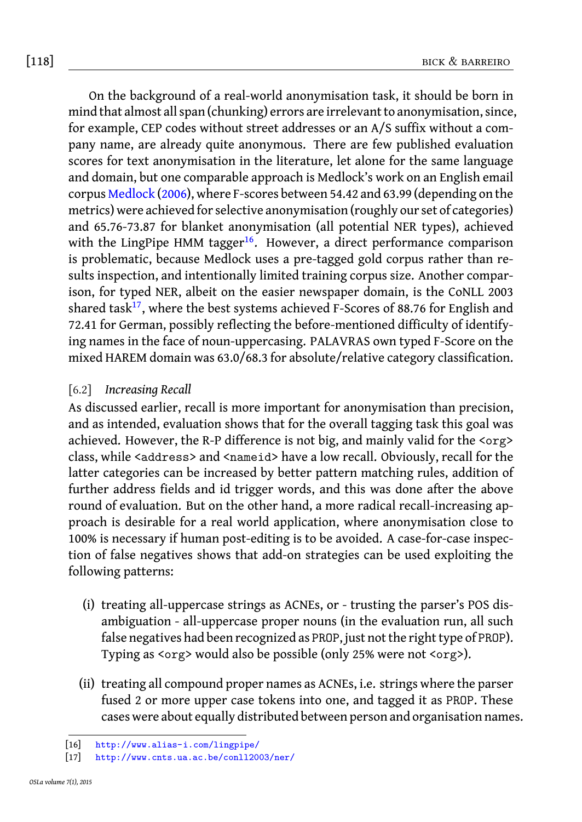# [118] bick & barreiro

On the background of a real-world anonymisation task, it should be born in mind that almost all span (chun[kin](#page-17-0)g) errors are irrelevant to anonymisation, since, for example, CEP codes without street addresses or an A/S suffix without a company name, are already quite anonymous. There are few published evaluation scores for text anonymisation in the literature, let alone for the same language and domai[n, b](#page-17-1)ut one comparable approach is Medlock's work on an English email corpus Medlock (2006), where F-scores between 54.42 and 63.99 (depending on the metrics) were achieved for selective anonymisation (roughly our set of categories) and 65.76-73.87 for blanket anonymisation (all potential NER types), achieved with the LingPipe HMM tagger<sup>16</sup>. However, a direct performance comparison is problematic, because Medlock uses a pre-tagged gold corpus rather than results inspection, and intentionally limited training corpus size. Another comparison, for typed NER, albeit on the easier newspaper domain, is the CoNLL 2003 shared task<sup>17</sup>, where the best systems achieved F-Scores of 88.76 for English and 72.41 for German, possibly reflecting the before-mentioned difficulty of identifying names in the face of noun-uppercasing. PALAVRAS own typed F-Score on the mixed HAREM domain was 63.0/68.3 for absolute/relative category classification.

# [6.2] *Increasing Recall*

As discussed earlier, recall is more important for anonymisation than precision, and as intended, evaluation shows that for the overall tagging task this goal was achieved. However, the R-P difference is not big, and mainly valid for the <org> class, while <address> and <nameid> have a low recall. Obviously, recall for the latter categories can be increased by better pattern matching rules, addition of further address fields and id trigger words, and this was done after the above round of evaluation. But on the other hand, a more radical recall-increasing approach is desirable for a real world application, where anonymisation close to 100% is necessary if human post-editing is to be avoided. A case-for-case inspection of false negatives shows that add-on strategies can be used exploiting the following patterns:

- <span id="page-17-1"></span><span id="page-17-0"></span>(i) [treating all-uppercase string](http://www.alias-i.com/lingpipe/)s as ACNEs, or - trusting the parser's POS dis[ambiguation - all-uppercase proper](http://www.cnts.ua.ac.be/conll2003/ner/) nouns (in the evaluation run, all such false negatives had been recognized as PROP, just not the right type of PROP). Typing as <org> would also be possible (only 25% were not <org>).
- (ii) treating all compound proper names as ACNEs, i.e. strings where the parser fused 2 or more upper case tokens into one, and tagged it as PROP. These cases were about equally distributed between person and organisation names.

<sup>[16]</sup> http://www.alias-i.com/lingpipe/

<sup>[17]</sup> http://www.cnts.ua.ac.be/conll2003/ner/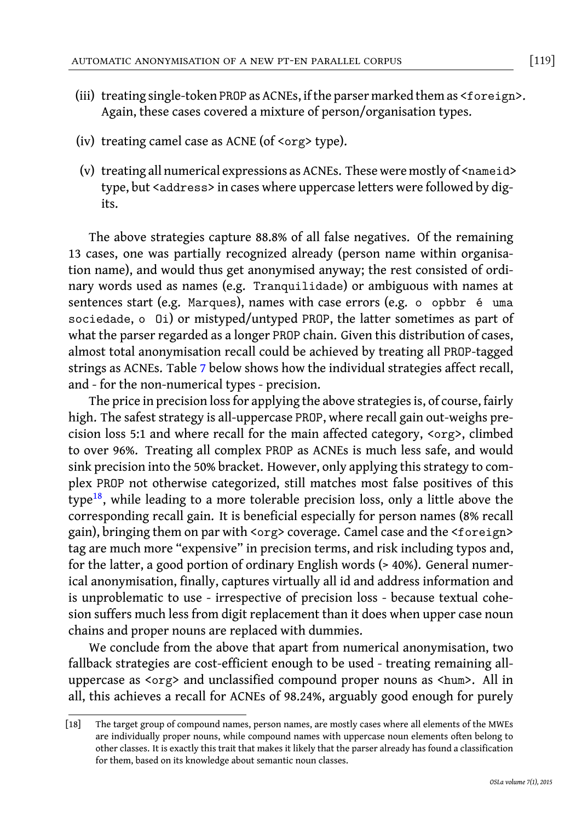- (iii) treating single-token PROP as ACNEs, if the parser marked them as <foreign>. Again, these cases covered a mixture of person/organisation types.
- (iv) treating camel case as ACNE (of <org> type).
- (v) treating all numerical expressions as ACNEs. These were mostly of <nameid> type, but <address> in cases where uppercase letters were followed by digits.

The above strategie[s](#page-19-0) capture 88.8% of all false negatives. Of the remaining 13 cases, one was partially recognized already (person name within organisation name), and would thus get anonymised anyway; the rest consisted of ordinary words used as names (e.g. Tranquilidade) or ambiguous with names at sentences start (e.g. Marques), names with case errors (e.g. o opbbr é uma sociedade, o Oi) or mistyped/untyped PROP, the latter sometimes as part of what the parser regarded as a longer PROP chain. Given this distribution of cases, almost total anonymisation recall could be achieved by treating all PROP-tagged stri[ngs](#page-18-0) as ACNEs. Table 7 below shows how the individual strategies affect recall, and - for the non-numerical types - precision.

The price in precision loss for applying the above strategies is, of course, fairly high. The safest strategy is all-uppercase PROP, where recall gain out-weighs precision loss 5:1 and where recall for the main affected category, <org>, climbed to over 96%. Treating all complex PROP as ACNEs is much less safe, and would sink precision into the 50% bracket. However, only applying this strategy to complex PROP not otherwise categorized, still matches most false positives of this type<sup>18</sup>, while leading to a more tolerable precision loss, only a little above the corresponding recall gain. It is beneficial especially for person names (8% recall gain), bringing them on par with <org> coverage. Camel case and the <foreign> tag are much more "expensive" in precision terms, and risk including typos and, for the latter, a good portion of ordinary English words (> 40%). General numerical anonymisation, finally, captures virtually all id and address information and is unproblematic to use - irrespective of precision loss - because textual cohesion suffers much less from digit replacement than it does when upper case noun chains and proper nouns are replaced with dummies.

<span id="page-18-0"></span>We conclude from the above that apart from numerical anonymisation, two fallback strategies are cost-efficient enough to be used - treating remaining alluppercase as <org> and unclassified compound proper nouns as <hum>. All in all, this achieves a recall for ACNEs of 98.24%, arguably good enough for purely

<sup>[18]</sup> The target group of compound names, person names, are mostly cases where all elements of the MWEs are individually proper nouns, while compound names with uppercase noun elements often belong to other classes. It is exactly this trait that makes it likely that the parser already has found a classification for them, based on its knowledge about semantic noun classes.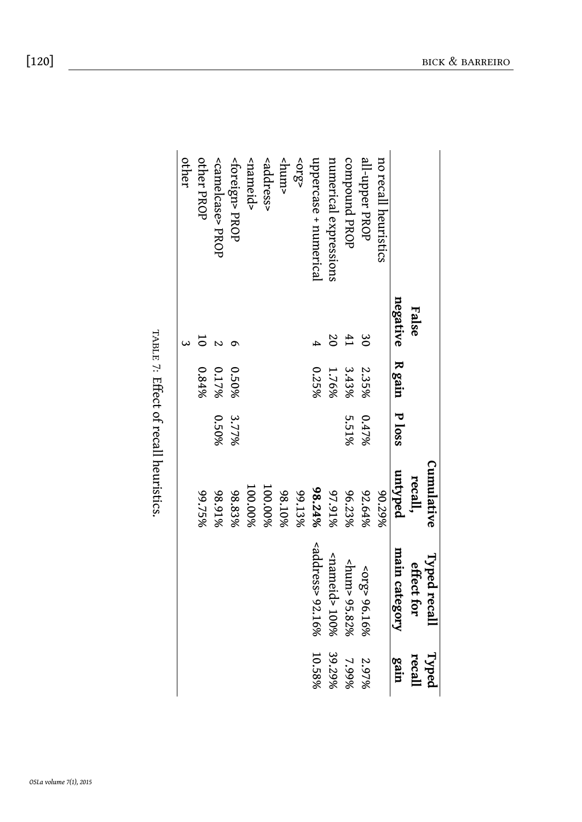<span id="page-19-0"></span>

|       |       |       | Cumulative             |                                       | Typed        |
|-------|-------|-------|------------------------|---------------------------------------|--------------|
| False |       |       | recall,                | effect for                            | recall       |
|       |       |       | untyped                | main category                         | gain         |
|       |       |       | 80.29%                 |                                       |              |
| ల     | 2.35% | 0.47% | 92.64%                 | <910>96.16%                           | 2.97%        |
|       | 3.43% | 5.51% | 96.23%                 | <hum> 95.82%</hum>                    | 7.99%        |
|       | 1.76% |       | 97.91%                 | <nameid> 100%</nameid>                | 39.29%       |
|       | 0.25% |       | 98.24%                 | $<$ address> 92.16% 10.58%            |              |
|       |       |       | 99.13%                 |                                       |              |
|       |       |       | 98.10%                 |                                       |              |
|       |       |       | 100.00%                |                                       |              |
|       |       |       | 100.00%                |                                       |              |
|       | 0.50% | 3.77% | 98.83%                 |                                       |              |
|       | 0.17% | 0.50% | 98.91%                 |                                       |              |
|       | 0.84% |       | 99.75%                 |                                       |              |
|       |       |       |                        |                                       |              |
|       |       |       |                        |                                       |              |
|       |       |       | negative R gain P loss | TABLE 7: Effect of recall heuristics. | Typed recall |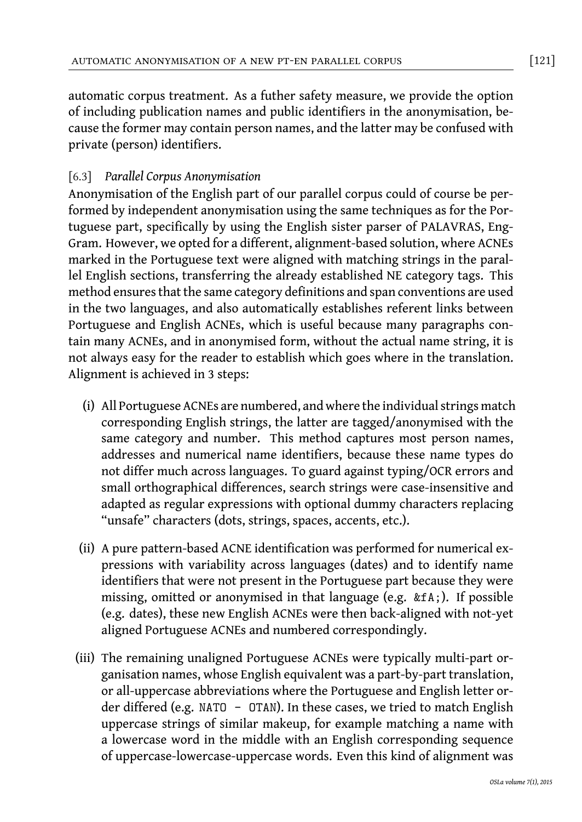automatic corpus treatment. As a futher safety measure, we provide the option of including publication names and public identifiers in the anonymisation, because the former may contain person names, and the latter may be confused with private (person) identifiers.

# [6.3] *Parallel Corpus Anonymisation*

Anonymisation of the English part of our parallel corpus could of course be performed by independent anonymisation using the same techniques as for the Portuguese part, specifically by using the English sister parser of PALAVRAS, Eng-Gram. However, we opted for a different, alignment-based solution, where ACNEs marked in the Portuguese text were aligned with matching strings in the parallel English sections, transferring the already established NE category tags. This method ensures that the same category definitions and span conventions are used in the two languages, and also automatically establishes referent links between Portuguese and English ACNEs, which is useful because many paragraphs contain many ACNEs, and in anonymised form, without the actual name string, it is not always easy for the reader to establish which goes where in the translation. Alignment is achieved in 3 steps:

- (i) All Portuguese ACNEs are numbered, and where the individual strings match corresponding English strings, the latter are tagged/anonymised with the same category and number. This method captures most person names, addresses and numerical name identifiers, because these name types do not differ much across languages. To guard against typing/OCR errors and small orthographical differences, search strings were case-insensitive and adapted as regular expressions with optional dummy characters replacing "unsafe" characters (dots, strings, spaces, accents, etc.).
- (ii) A pure pattern-based ACNE identification was performed for numerical expressions with variability across languages (dates) and to identify name identifiers that were not present in the Portuguese part because they were missing, omitted or anonymised in that language (e.g. &fA;). If possible (e.g. dates), these new English ACNEs were then back-aligned with not-yet aligned Portuguese ACNEs and numbered correspondingly.
- (iii) The remaining unaligned Portuguese ACNEs were typically multi-part organisation names, whose English equivalent was a part-by-part translation, or all-uppercase abbreviations where the Portuguese and English letter order differed (e.g. NATO - OTAN). In these cases, we tried to match English uppercase strings of similar makeup, for example matching a name with a lowercase word in the middle with an English corresponding sequence of uppercase-lowercase-uppercase words. Even this kind of alignment was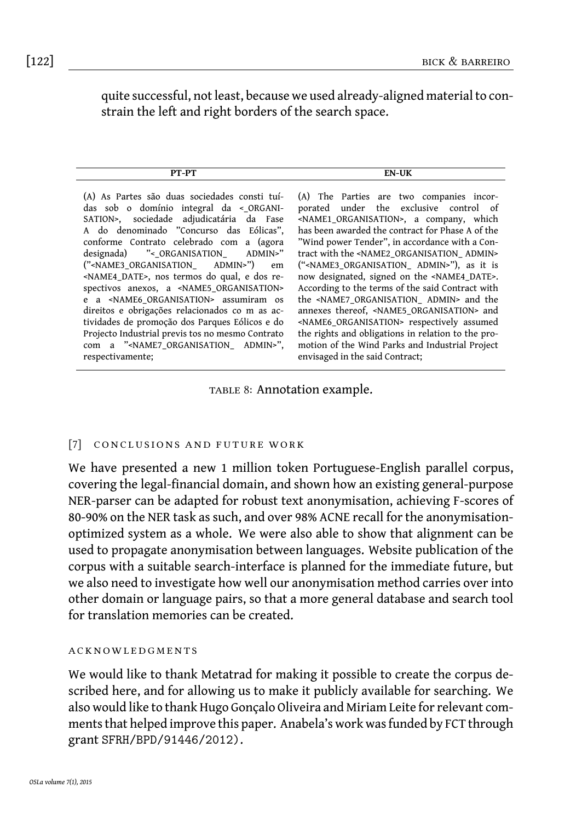quite successful, not least, because we used already-aligned material to constrain the left and right borders of the search space.

| . . |
|-----|
|     |
|     |

(A) As Partes são duas sociedades consti tuídas sob o domínio integral da <\_ORGANI-SATION>, sociedade adjudicatária da Fase A do denominado "Concurso das Eólicas", conforme Contrato celebrado com a (agora<br>designada) "<\_ORGANISATION ADMIN>" designada) "<\_ORGANISATION\_ AD<br>("<NAME3 ORGANISATION ADMIN>") ("<NAME3\_ORGANISATION\_ ADMIN>") em <NAME4\_DATE>, nos termos do qual, e dos respectivos anexos, a <NAME5\_ORGANISATION> e a <NAME6\_ORGANISATION> assumiram os direitos e obrigações relacionados co m as actividades de promoção dos Parques Eólicos e do Projecto Industrial previs tos no mesmo Contrato com a "<NAME7\_ORGANISATION\_ ADMIN>", respectivamente;

(A) The Parties are two companies incorporated under the exclusive control of <NAME1\_ORGANISATION>, a company, which has been awarded the contract for Phase A of the "Wind power Tender", in accordance with a Contract with the <NAME2\_ORGANISATION\_ ADMIN> ("<NAME3\_ORGANISATION\_ ADMIN>"), as it is now designated, signed on the <NAME4\_DATE>. According to the terms of the said Contract with the <NAME7\_ORGANISATION\_ ADMIN> and the annexes thereof, <NAME5\_ORGANISATION> and <NAME6\_ORGANISATION> respectively assumed the rights and obligations in relation to the promotion of the Wind Parks and Industrial Project envisaged in the said Contract;

TABLE 8: Annotation example.

#### [7] CONCLUSIONS AND FUTURE WORK

We have presented a new 1 million token Portuguese-English parallel corpus, covering the legal-financial domain, and shown how an existing general-purpose NER-parser can be adapted for robust text anonymisation, achieving F-scores of 80-90% on the NER task as such, and over 98% ACNE recall for the anonymisationoptimized system as a whole. We were also able to show that alignment can be used to propagate anonymisation between languages. Website publication of the corpus with a suitable search-interface is planned for the immediate future, but we also need to investigate how well our anonymisation method carries over into other domain or language pairs, so that a more general database and search tool for translation memories can be created.

#### **ACKNOWLED GMENTS**

We would like to thank Metatrad for making it possible to create the corpus described here, and for allowing us to make it publicly available for searching. We also would like to thank Hugo Gonçalo Oliveira and Miriam Leite for relevant comments that helped improve this paper. Anabela's work was funded by FCT through grant SFRH/BPD/91446/2012).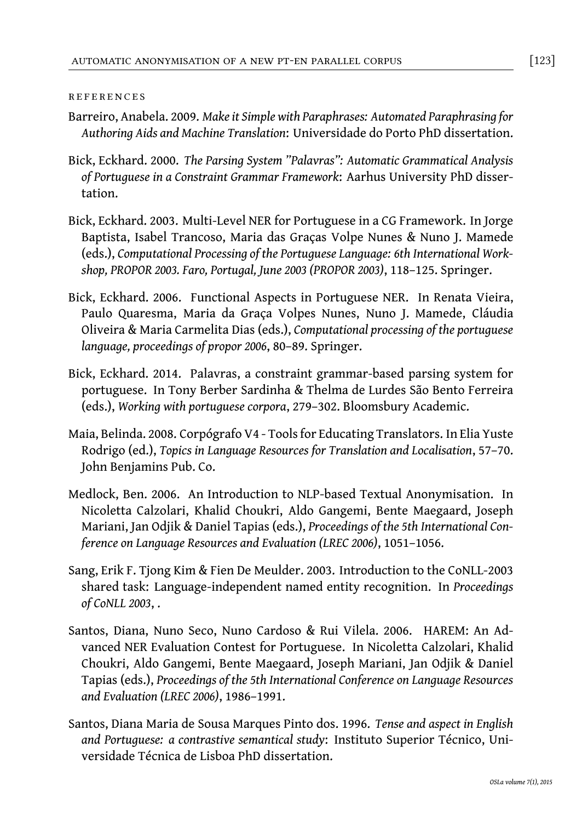#### r e f e r e nc e s

- Barreiro, Anabela. 2009. *Make it Simple with Paraphrases: Automated Paraphrasing for Authoring Aids and Machine Translation*: Universidade do Porto PhD dissertation.
- Bick, Eckhard. 2000. *The Parsing System "Palavras": Automatic Grammatical Analysis of Portuguese in a Constraint Grammar Framework*: Aarhus University PhD dissertation.
- <span id="page-22-3"></span>Bick, Eckhard. 2003. Multi-Level NER for Portuguese in a CG Framework. In Jorge Baptista, Isabel Trancoso, Maria das Graças Volpe Nunes & Nuno J. Mamede (eds.), *Computational Processing of the Portuguese Language: 6th International Workshop, PROPOR 2003. Faro, Portugal, June 2003 (PROPOR 2003)*, 118–125. Springer.
- <span id="page-22-4"></span>Bick, Eckhard. 2006. Functional Aspects in Portuguese NER. In Renata Vieira, Paulo Quaresma, Maria da Graça Volpes Nunes, Nuno J. Mamede, Cláudia Oliveira & Maria Carmelita Dias (eds.), *Computational processing of the portuguese language, proceedings of propor 2006*, 80–89. Springer.
- <span id="page-22-2"></span>Bick, Eckhard. 2014. Palavras, a constraint grammar-based parsing system for portuguese. In Tony Berber Sardinha & Thelma de Lurdes São Bento Ferreira (eds.), *Working with portuguese corpora*, 279–302. Bloomsbury Academic.
- <span id="page-22-1"></span>Maia, Belinda. 2008. Corpógrafo V4 - Tools for Educating Translators. In Elia Yuste Rodrigo (ed.), *Topics in Language Resources for Translation and Localisation*, 57–70. John Benjamins Pub. Co.
- <span id="page-22-5"></span>Medlock, Ben. 2006. An Introduction to NLP-based Textual Anonymisation. In Nicoletta Calzolari, Khalid Choukri, Aldo Gangemi, Bente Maegaard, Joseph Mariani, Jan Odjik & Daniel Tapias (eds.), *Proceedings of the 5th International Conference on Language Resources and Evaluation (LREC 2006)*, 1051–1056.
- <span id="page-22-6"></span>Sang, Erik F. Tjong Kim & Fien De Meulder. 2003. Introduction to the CoNLL-2003 shared task: Language-independent named entity recognition. In *Proceedings of CoNLL 2003*, .
- Santos, Diana, Nuno Seco, Nuno Cardoso & Rui Vilela. 2006. HAREM: An Advanced NER Evaluation Contest for Portuguese. In Nicoletta Calzolari, Khalid Choukri, Aldo Gangemi, Bente Maegaard, Joseph Mariani, Jan Odjik & Daniel Tapias (eds.), *Proceedings of the 5th International Conference on Language Resources and Evaluation (LREC 2006)*, 1986–1991.
- <span id="page-22-0"></span>Santos, Diana Maria de Sousa Marques Pinto dos. 1996. *Tense and aspect in English and Portuguese: a contrastive semantical study*: Instituto Superior Técnico, Universidade Técnica de Lisboa PhD dissertation.